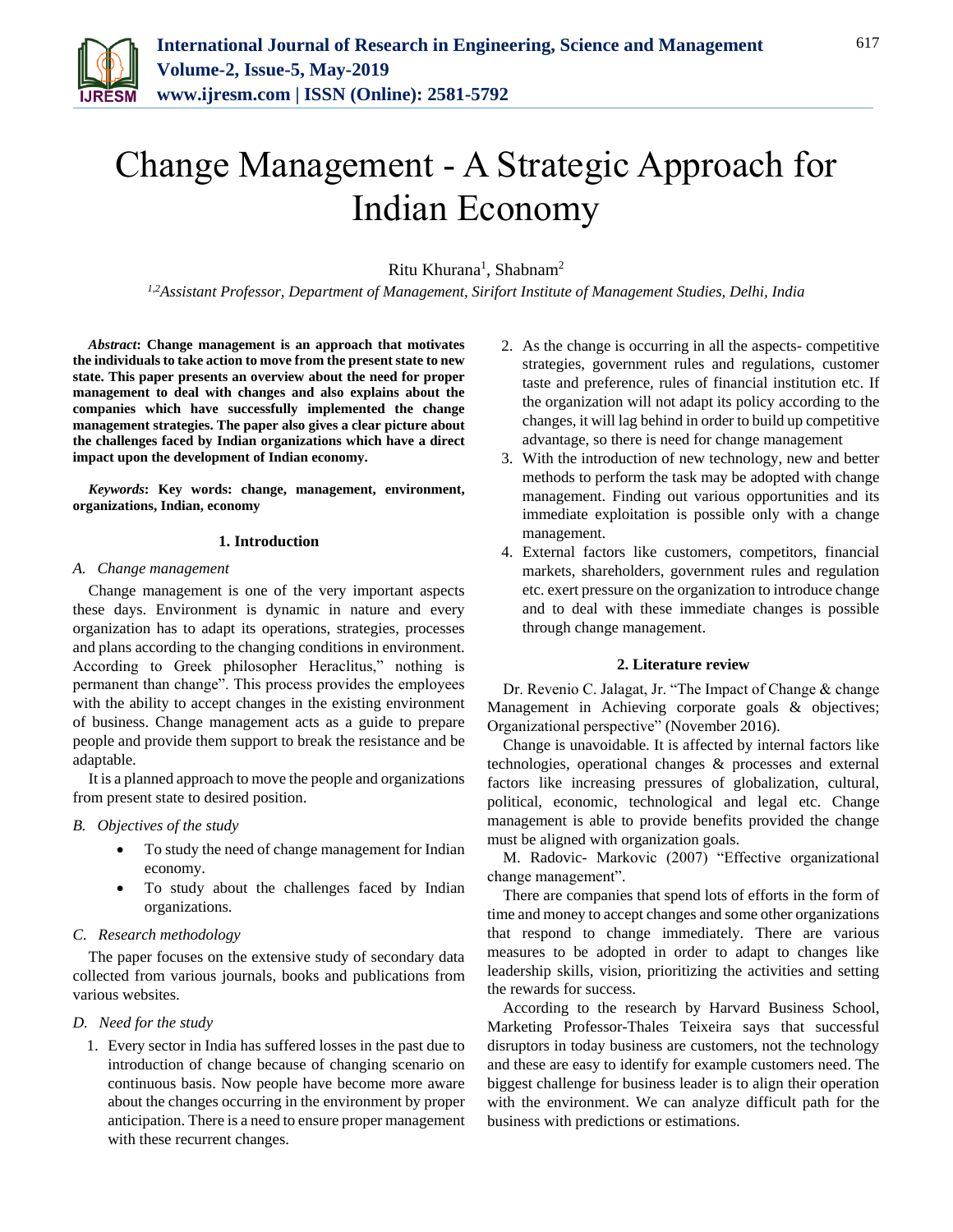

# Change Management - A Strategic Approach for Indian Economy

Ritu Khurana<sup>1</sup>, Shabnam<sup>2</sup>

*1,2Assistant Professor, Department of Management, Sirifort Institute of Management Studies, Delhi, India*

*Abstract***: Change management is an approach that motivates the individuals to take action to move from the present state to new state. This paper presents an overview about the need for proper management to deal with changes and also explains about the companies which have successfully implemented the change management strategies. The paper also gives a clear picture about the challenges faced by Indian organizations which have a direct impact upon the development of Indian economy.**

*Keywords***: Key words: change, management, environment, organizations, Indian, economy**

### **1. Introduction**

#### *A. Change management*

Change management is one of the very important aspects these days. Environment is dynamic in nature and every organization has to adapt its operations, strategies, processes and plans according to the changing conditions in environment. According to Greek philosopher Heraclitus," nothing is permanent than change". This process provides the employees with the ability to accept changes in the existing environment of business. Change management acts as a guide to prepare people and provide them support to break the resistance and be adaptable.

It is a planned approach to move the people and organizations from present state to desired position.

# *B. Objectives of the study*

- To study the need of change management for Indian economy.
- To study about the challenges faced by Indian organizations.

# *C. Research methodology*

The paper focuses on the extensive study of secondary data collected from various journals, books and publications from various websites.

# *D. Need for the study*

1. Every sector in India has suffered losses in the past due to introduction of change because of changing scenario on continuous basis. Now people have become more aware about the changes occurring in the environment by proper anticipation. There is a need to ensure proper management with these recurrent changes.

- 2. As the change is occurring in all the aspects- competitive strategies, government rules and regulations, customer taste and preference, rules of financial institution etc. If the organization will not adapt its policy according to the changes, it will lag behind in order to build up competitive advantage, so there is need for change management
- 3. With the introduction of new technology, new and better methods to perform the task may be adopted with change management. Finding out various opportunities and its immediate exploitation is possible only with a change management.
- 4. External factors like customers, competitors, financial markets, shareholders, government rules and regulation etc. exert pressure on the organization to introduce change and to deal with these immediate changes is possible through change management.

#### **2. Literature review**

Dr. Revenio C. Jalagat, Jr. "The Impact of Change & change Management in Achieving corporate goals & objectives; Organizational perspective" (November 2016).

Change is unavoidable. It is affected by internal factors like technologies, operational changes & processes and external factors like increasing pressures of globalization, cultural, political, economic, technological and legal etc. Change management is able to provide benefits provided the change must be aligned with organization goals.

M. Radovic- Markovic (2007) "Effective organizational change management".

There are companies that spend lots of efforts in the form of time and money to accept changes and some other organizations that respond to change immediately. There are various measures to be adopted in order to adapt to changes like leadership skills, vision, prioritizing the activities and setting the rewards for success.

According to the research by Harvard Business School, Marketing Professor-Thales Teixeira says that successful disruptors in today business are customers, not the technology and these are easy to identify for example customers need. The biggest challenge for business leader is to align their operation with the environment. We can analyze difficult path for the business with predictions or estimations.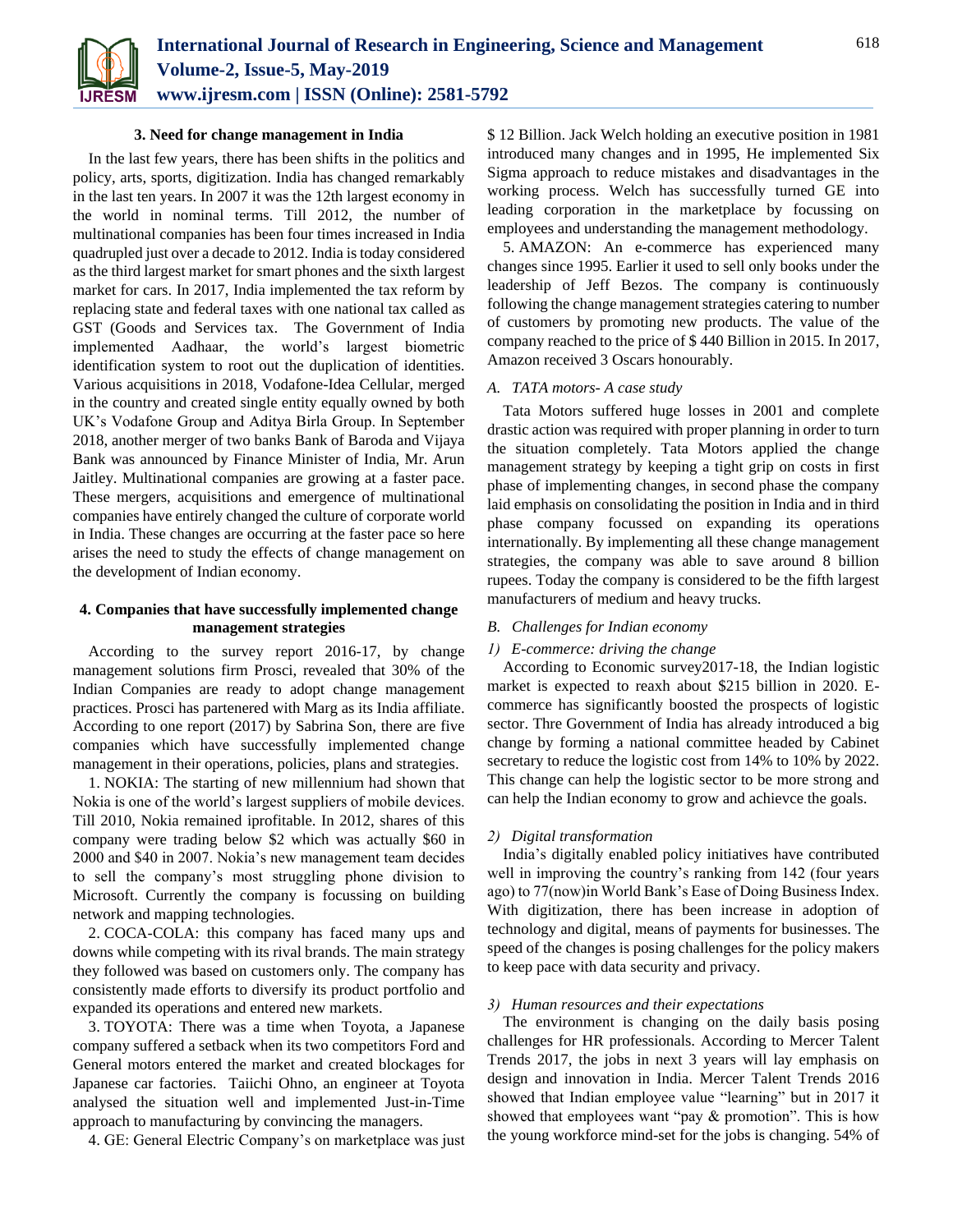

#### **3. Need for change management in India**

In the last few years, there has been shifts in the politics and policy, arts, sports, digitization. India has changed remarkably in the last ten years. In 2007 it was the 12th largest economy in the world in nominal terms. Till 2012, the number of multinational companies has been four times increased in India quadrupled just over a decade to 2012. India is today considered as the third largest market for smart phones and the sixth largest market for cars. In 2017, India implemented the tax reform by replacing state and federal taxes with one national tax called as GST (Goods and Services tax. The Government of India implemented Aadhaar, the world's largest biometric identification system to root out the duplication of identities. Various acquisitions in 2018, Vodafone-Idea Cellular, merged in the country and created single entity equally owned by both UK's Vodafone Group and Aditya Birla Group. In September 2018, another merger of two banks Bank of Baroda and Vijaya Bank was announced by Finance Minister of India, Mr. Arun Jaitley. Multinational companies are growing at a faster pace. These mergers, acquisitions and emergence of multinational companies have entirely changed the culture of corporate world in India. These changes are occurring at the faster pace so here arises the need to study the effects of change management on the development of Indian economy.

### **4. Companies that have successfully implemented change management strategies**

According to the survey report 2016-17, by change management solutions firm Prosci, revealed that 30% of the Indian Companies are ready to adopt change management practices. Prosci has partenered with Marg as its India affiliate. According to one report (2017) by Sabrina Son, there are five companies which have successfully implemented change management in their operations, policies, plans and strategies.

1. NOKIA: The starting of new millennium had shown that Nokia is one of the world's largest suppliers of mobile devices. Till 2010, Nokia remained iprofitable. In 2012, shares of this company were trading below \$2 which was actually \$60 in 2000 and \$40 in 2007. Nokia's new management team decides to sell the company's most struggling phone division to Microsoft. Currently the company is focussing on building network and mapping technologies.

2. COCA-COLA: this company has faced many ups and downs while competing with its rival brands. The main strategy they followed was based on customers only. The company has consistently made efforts to diversify its product portfolio and expanded its operations and entered new markets.

3. TOYOTA: There was a time when Toyota, a Japanese company suffered a setback when its two competitors Ford and General motors entered the market and created blockages for Japanese car factories. Taiichi Ohno, an engineer at Toyota analysed the situation well and implemented Just-in-Time approach to manufacturing by convincing the managers.

4. GE: General Electric Company's on marketplace was just

\$ 12 Billion. Jack Welch holding an executive position in 1981 introduced many changes and in 1995, He implemented Six Sigma approach to reduce mistakes and disadvantages in the working process. Welch has successfully turned GE into leading corporation in the marketplace by focussing on employees and understanding the management methodology.

5. AMAZON: An e-commerce has experienced many changes since 1995. Earlier it used to sell only books under the leadership of Jeff Bezos. The company is continuously following the change management strategies catering to number of customers by promoting new products. The value of the company reached to the price of \$ 440 Billion in 2015. In 2017, Amazon received 3 Oscars honourably.

# *A. TATA motors- A case study*

Tata Motors suffered huge losses in 2001 and complete drastic action was required with proper planning in order to turn the situation completely. Tata Motors applied the change management strategy by keeping a tight grip on costs in first phase of implementing changes, in second phase the company laid emphasis on consolidating the position in India and in third phase company focussed on expanding its operations internationally. By implementing all these change management strategies, the company was able to save around 8 billion rupees. Today the company is considered to be the fifth largest manufacturers of medium and heavy trucks.

# *B. Challenges for Indian economy*

#### *1) E-commerce: driving the change*

According to Economic survey2017-18, the Indian logistic market is expected to reaxh about \$215 billion in 2020. Ecommerce has significantly boosted the prospects of logistic sector. Thre Government of India has already introduced a big change by forming a national committee headed by Cabinet secretary to reduce the logistic cost from 14% to 10% by 2022. This change can help the logistic sector to be more strong and can help the Indian economy to grow and achievce the goals.

# *2) Digital transformation*

India's digitally enabled policy initiatives have contributed well in improving the country's ranking from 142 (four years ago) to 77(now)in World Bank's Ease of Doing Business Index. With digitization, there has been increase in adoption of technology and digital, means of payments for businesses. The speed of the changes is posing challenges for the policy makers to keep pace with data security and privacy.

#### *3) Human resources and their expectations*

The environment is changing on the daily basis posing challenges for HR professionals. According to Mercer Talent Trends 2017, the jobs in next 3 years will lay emphasis on design and innovation in India. Mercer Talent Trends 2016 showed that Indian employee value "learning" but in 2017 it showed that employees want "pay & promotion". This is how the young workforce mind-set for the jobs is changing. 54% of